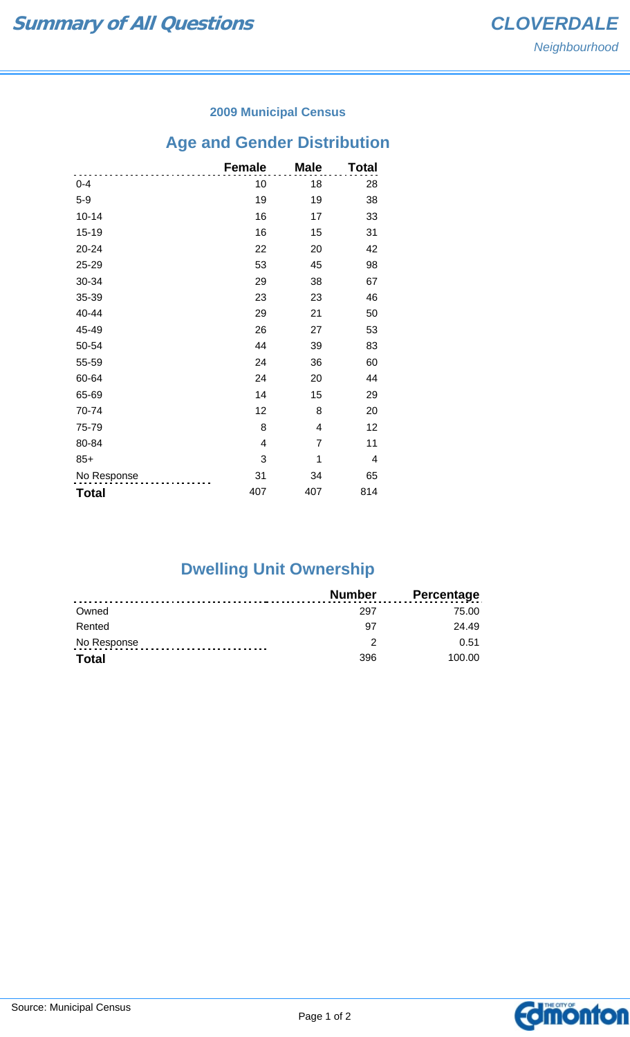#### **2009 Municipal Census**

# **Age and Gender Distribution**

|              | <b>Female</b> | <b>Male</b> | Total |
|--------------|---------------|-------------|-------|
| $0 - 4$      | 10            | 18          | 28    |
| $5-9$        | 19            | 19          | 38    |
| $10 - 14$    | 16            | 17          | 33    |
| $15 - 19$    | 16            | 15          | 31    |
| 20-24        | 22            | 20          | 42    |
| 25-29        | 53            | 45          | 98    |
| 30-34        | 29            | 38          | 67    |
| 35-39        | 23            | 23          | 46    |
| 40-44        | 29            | 21          | 50    |
| 45-49        | 26            | 27          | 53    |
| 50-54        | 44            | 39          | 83    |
| 55-59        | 24            | 36          | 60    |
| 60-64        | 24            | 20          | 44    |
| 65-69        | 14            | 15          | 29    |
| 70-74        | 12            | 8           | 20    |
| 75-79        | 8             | 4           | 12    |
| 80-84        | 4             | 7           | 11    |
| $85+$        | 3             | 1           | 4     |
| No Response  | 31            | 34          | 65    |
| <b>Total</b> | 407           | 407         | 814   |

## **Dwelling Unit Ownership**

|              | <b>Number</b> | <b>Percentage</b> |
|--------------|---------------|-------------------|
| Owned        | 297           | 75.00             |
| Rented       | 97            | 24.49             |
| No Response  | າ             | 0.51              |
| <b>Total</b> | 396           | 100.00            |